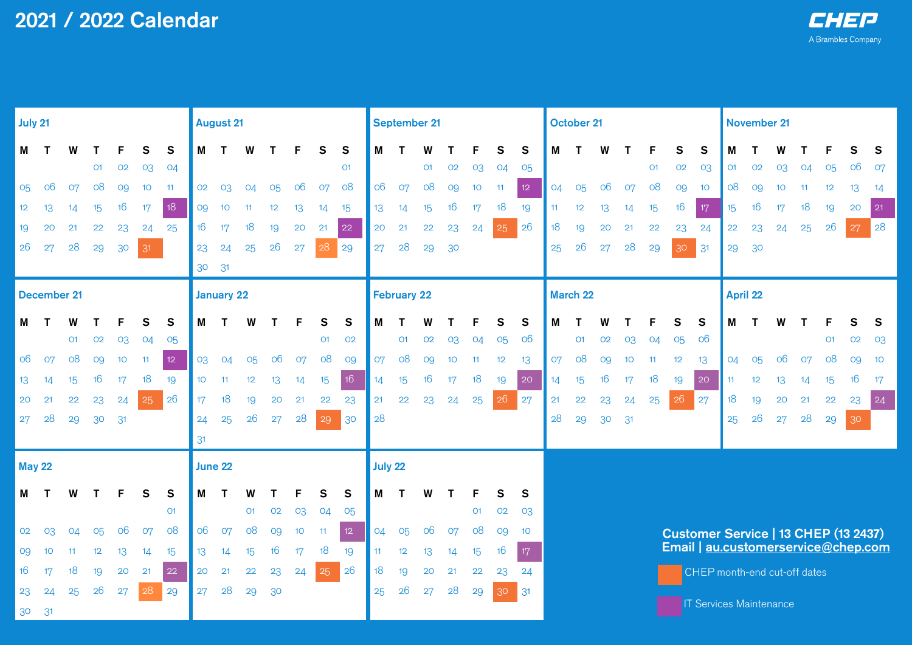| July 21         |                    |                |                |    |              |                |                  | <b>August 21</b> |                |    |                 |                |                | <b>September 21</b> |                |                |                 |                 |    |                 | <b>October 21</b>                    |                                |    |                |                |                |              | November 21      |    |                 |    |                |    |    |
|-----------------|--------------------|----------------|----------------|----|--------------|----------------|------------------|------------------|----------------|----|-----------------|----------------|----------------|---------------------|----------------|----------------|-----------------|-----------------|----|-----------------|--------------------------------------|--------------------------------|----|----------------|----------------|----------------|--------------|------------------|----|-----------------|----|----------------|----|----|
| Μ               | ਾ                  | W              |                | F  | S            | ${\sf s}$      | М                | Т                | W              | Т  | F               | $\mathbf{s}$   | $\mathbf{s}$   | М                   | Т              | W              |                 | F               | S  | $\mathbf{s}$    | M                                    | Т                              | W  | т              | F              | S              | $\mathbf{s}$ | M                |    |                 |    | F              | S  | S  |
|                 |                    |                | O <sub>1</sub> | 02 | 03           | 04             |                  |                  |                |    |                 |                | O <sub>1</sub> |                     |                | O <sub>1</sub> | 02              | 03              | 04 | 05              |                                      |                                |    |                | O <sub>1</sub> | 02             | 03           | O <sub>1</sub>   | 02 | 03              | 04 | 05             | 06 | 07 |
| 05              | O6                 | 07             | 08             | 09 | 10           | 11             | 02               | 03               | O <sub>4</sub> | 05 | 06              | 07             | 08             | 06                  | 07             | 08             | 09              | 10 <sup>°</sup> | 11 | 12              | 04                                   | 05                             | 06 | 07             | 08             | O <sub>9</sub> | 10           | 08               | 09 | 10 <sup>°</sup> | 11 | 12             | 13 | 14 |
| 12 <sup>°</sup> | 13                 | 14             | 15             | 16 | 17           | 18             | O <sub>9</sub>   | 10               | 11             | 12 | 13              | 14             | 15             | 13                  | 14             | 15             | 16              | 17              | 18 | 19              | 11                                   | 12                             | 13 | 14             | 15             | 16             | 17           | 15 <sup>15</sup> | 16 | 17              | 18 | 19             | 20 | 21 |
| 19              | 20                 | 21             | 22             | 23 | 24           | 25             | 16               | 17               | 18             | 19 | 20              | 21             | 22             | 20                  | 21             | 22             | 23              | 24              | 25 | 26              | 18                                   | 19                             | 20 | 21             | 22             | 23             | 24           | 22               | 23 | 24              | 25 | 26             | 27 | 28 |
| $26\,$          | 27                 | 28             | 29             | 30 | 31           |                | 23               | 24               | 25             | 26 | 27              | 28             | 29             | 27                  | 28             | 29             | 30              |                 |    |                 | 25                                   | 26                             | 27 | 28             | 29             | 30             | 31           | 29               | 30 |                 |    |                |    |    |
|                 |                    |                |                |    |              |                | 30               | 31               |                |    |                 |                |                |                     |                |                |                 |                 |    |                 |                                      |                                |    |                |                |                |              |                  |    |                 |    |                |    |    |
|                 | <b>December 21</b> |                |                |    |              |                |                  | January 22       |                |    |                 |                |                | <b>February 22</b>  |                |                |                 |                 |    | March 22        |                                      |                                |    |                |                | April 22       |              |                  |    |                 |    |                |    |    |
| М               | ா                  |                |                | F  | S            | S              | M                | т                |                |    |                 | S              | S              | M                   |                |                |                 | F               | S  | S               | M                                    |                                | W  |                | F              | S              | S            | M                |    |                 |    |                | S  | S  |
|                 |                    | O <sub>1</sub> | 02             | 03 | 04           | 05             |                  |                  |                |    |                 | O <sub>1</sub> | 02             |                     | O <sub>1</sub> | 02             | 03              | 04              | 05 | 06              |                                      | O <sub>1</sub>                 | 02 | 03             | 04             | 05             | 06           |                  |    |                 |    | O <sub>1</sub> | 02 | 03 |
| 06              | 07                 | 08             | 09             | 10 | 11           | 12             | 03               | 04               | 05             | 06 | 07              | 08             | 09             | 07                  | 08             | 09             | 10 <sup>°</sup> | 11              | 12 | 13              | 07                                   | 08                             | 09 | 10             | 11             | 12             | 13           | 04               | 05 | 06              | 07 | 08             | 09 | 10 |
| 13              | 14                 | 15             | 16             | 17 | 18           | 19             | 10 <sup>°</sup>  | 11               | 12             | 13 | 14              | 15             | 16             | 14                  | 15             | 16             | 17              | 18              | 19 | 20              | 14                                   | 15                             | 16 | 17             | 18             | 19             | 20           | 11               | 12 | 13              | 14 | 15             | 16 | 17 |
| 20              | 21                 | 22             | 23             | 24 | 25           | 26             | 17               | 18               | 19             | 20 | 21              | 22             | 23             | 21                  | 22             | 23             | 24              | 25              | 26 | 27              | 21                                   | 22                             | 23 | 24             | 25             | 26             | 27           | 18               | 19 | 20              | 21 | 22             | 23 | 24 |
| 27              | 28                 | 29             | 30             | 31 |              |                | 24               | 25               | 26             | 27 | 28              | 29             | 30             | 28                  |                |                |                 |                 |    |                 | 28                                   | 29                             | 30 | 3 <sup>1</sup> |                |                |              | 25               | 26 | 27              | 28 | 29             | 30 |    |
|                 |                    |                |                |    |              |                | 31               |                  |                |    |                 |                |                |                     |                |                |                 |                 |    |                 |                                      |                                |    |                |                |                |              |                  |    |                 |    |                |    |    |
| <b>May 22</b>   |                    |                |                |    |              |                |                  | June 22          |                |    |                 |                |                | July 22             |                |                |                 |                 |    |                 |                                      |                                |    |                |                |                |              |                  |    |                 |    |                |    |    |
| M               | Т                  | W              |                | F  | $\mathsf{s}$ | $\mathbf{s}$   | М                |                  |                |    |                 | S              | $\mathsf{s}$   | M                   |                | W              |                 |                 | S  | S               |                                      |                                |    |                |                |                |              |                  |    |                 |    |                |    |    |
|                 |                    |                |                |    |              | O <sub>1</sub> |                  |                  | O <sub>1</sub> | 02 | 03              | 04             | 05             |                     |                |                |                 | O <sub>1</sub>  | 02 | -03             |                                      |                                |    |                |                |                |              |                  |    |                 |    |                |    |    |
| 02              | 03                 | 04             | 05             | 06 | 07           | 08             | 06               | 07               | 08             | 09 | 10 <sup>°</sup> | 11             | 12             | 04                  | 05             | 06             | 07              | 08              | 09 | 10 <sup>°</sup> | Customer Service   13 CHEP (13 2437) |                                |    |                |                |                |              |                  |    |                 |    |                |    |    |
| O9              | 10                 | 11             | 12             | 13 | 14           | 15             | 13 <sup>13</sup> | 14               | 15             | 16 | 17              | 18             | 19             | 11                  | 12             | 13             | 14              | 15              | 16 | 17              | Email   au.customerservice@chep.com  |                                |    |                |                |                |              |                  |    |                 |    |                |    |    |
| 16              | 17                 | 18             | 19             | 20 | 21           | 22             | 20               | 21               | 22             | 23 | 24              | 25             | 26             | 18                  | 19             | 20             | 21              | 22              | 23 | 24              |                                      | CHEP month-end cut-off dates   |    |                |                |                |              |                  |    |                 |    |                |    |    |
| 23              | 24                 | 25             | 26             | 27 | 28           | 29             | 27               | 28               | 29             | 30 |                 |                |                | 25                  | 26             | 27             | 28              | 29              | 30 | 31              |                                      |                                |    |                |                |                |              |                  |    |                 |    |                |    |    |
| 30              | 3 <sup>1</sup>     |                |                |    |              |                |                  |                  |                |    |                 |                |                |                     |                |                |                 |                 |    |                 |                                      | <b>IT Services Maintenance</b> |    |                |                |                |              |                  |    |                 |    |                |    |    |